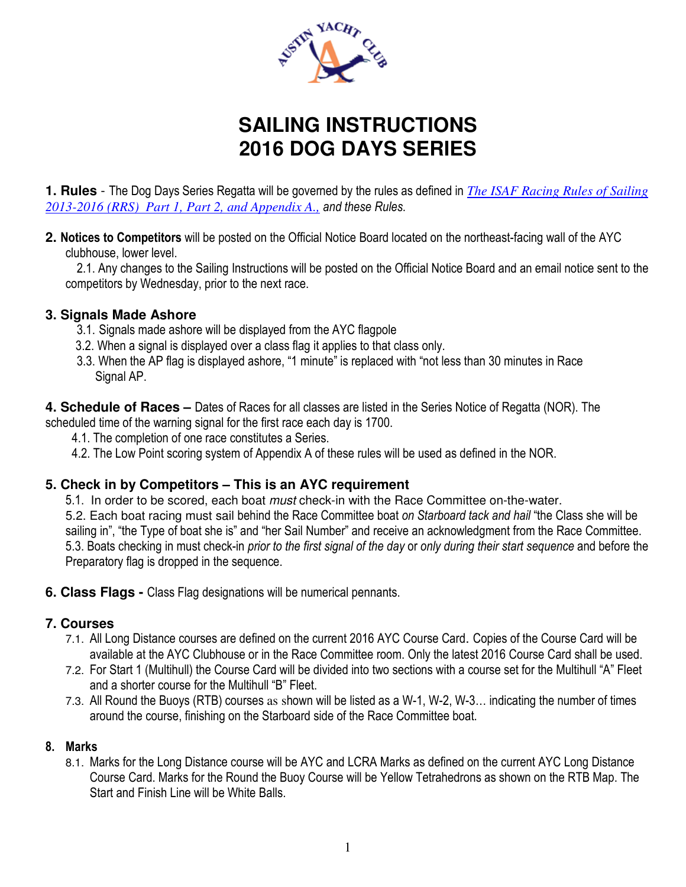

# **SAILING INSTRUCTIONS 2016 DOG DAYS SERIES**

**1. Rules** - The Dog Days Series Regatta will be governed by the rules as defined in *The ISAF Racing Rules of Sailing 2013-2016 (RRS) Part 1, Part 2, and Appendix A., and these Rules*.

**2. Notices to Competitors** will be posted on the Official Notice Board located on the northeast-facing wall of the AYC clubhouse, lower level.

 2.1. Any changes to the Sailing Instructions will be posted on the Official Notice Board and an email notice sent to the competitors by Wednesday, prior to the next race.

#### **3. Signals Made Ashore**

- 3.1. Signals made ashore will be displayed from the AYC flagpole
- 3.2. When a signal is displayed over a class flag it applies to that class only.
- 3.3. When the AP flag is displayed ashore, "1 minute" is replaced with "not less than 30 minutes in Race Signal AP.

**4. Schedule of Races –** Dates of Races for all classes are listed in the Series Notice of Regatta (NOR). The

scheduled time of the warning signal for the first race each day is 1700.

- 4.1. The completion of one race constitutes a Series.
- 4.2. The Low Point scoring system of Appendix A of these rules will be used as defined in the NOR.

## **5. Check in by Competitors – This is an AYC requirement**

5.1. In order to be scored, each boat *must* check-in with the Race Committee on-the-water. 5.2. Each boat racing must sail behind the Race Committee boat *on Starboard tack and hail* "the Class she will be sailing in", "the Type of boat she is" and "her Sail Number" and receive an acknowledgment from the Race Committee. 5.3. Boats checking in must check-in *prior to the first signal of the day* or *only during their start sequence* and before the Preparatory flag is dropped in the sequence.

**6. Class Flags -** Class Flag designations will be numerical pennants.

# **7. Courses**

- 7.1. All Long Distance courses are defined on the current 2016 AYC Course Card. Copies of the Course Card will be available at the AYC Clubhouse or in the Race Committee room. Only the latest 2016 Course Card shall be used.
- 7.2. For Start 1 (Multihull) the Course Card will be divided into two sections with a course set for the Multihull "A" Fleet and a shorter course for the Multihull "B" Fleet.
- 7.3. All Round the Buoys (RTB) courses as shown will be listed as a W-1, W-2, W-3… indicating the number of times around the course, finishing on the Starboard side of the Race Committee boat.

## **8. Marks**

8.1. Marks for the Long Distance course will be AYC and LCRA Marks as defined on the current AYC Long Distance Course Card. Marks for the Round the Buoy Course will be Yellow Tetrahedrons as shown on the RTB Map. The Start and Finish Line will be White Balls.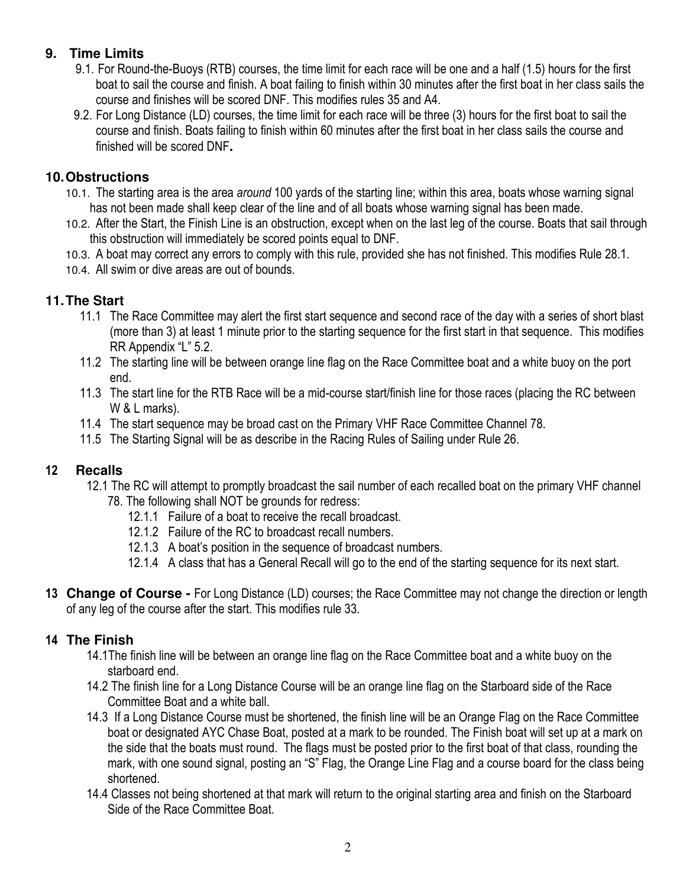# **9. Time Limits**

- 9.1. For Round-the-Buoys (RTB) courses, the time limit for each race will be one and a half (1.5) hours for the first boat to sail the course and finish. A boat failing to finish within 30 minutes after the first boat in her class sails the course and finishes will be scored DNF. This modifies rules 35 and A4.
- 9.2. For Long Distance (LD) courses, the time limit for each race will be three (3) hours for the first boat to sail the course and finish. Boats failing to finish within 60 minutes after the first boat in her class sails the course and finished will be scored DNF**.**

## **10. Obstructions**

- 10.1. The starting area is the area *around* 100 yards of the starting line; within this area, boats whose warning signal has not been made shall keep clear of the line and of all boats whose warning signal has been made.
- 10.2. After the Start, the Finish Line is an obstruction, except when on the last leg of the course. Boats that sail through this obstruction will immediately be scored points equal to DNF.
- 10.3. A boat may correct any errors to comply with this rule, provided she has not finished. This modifies Rule 28.1.
- 10.4. All swim or dive areas are out of bounds.

# **11. The Start**

- 11.1 The Race Committee may alert the first start sequence and second race of the day with a series of short blast (more than 3) at least 1 minute prior to the starting sequence for the first start in that sequence. This modifies RR Appendix "L" 5.2.
- 11.2 The starting line will be between orange line flag on the Race Committee boat and a white buoy on the port end.
- 11.3 The start line for the RTB Race will be a mid-course start/finish line for those races (placing the RC between W & L marks).
- 11.4 The start sequence may be broad cast on the Primary VHF Race Committee Channel 78.
- 11.5 The Starting Signal will be as describe in the Racing Rules of Sailing under Rule 26.

# **12 Recalls**

- 12.1 The RC will attempt to promptly broadcast the sail number of each recalled boat on the primary VHF channel 78. The following shall NOT be grounds for redress:
	- 12.1.1 Failure of a boat to receive the recall broadcast.
	- 12.1.2 Failure of the RC to broadcast recall numbers.
	- 12.1.3 A boat's position in the sequence of broadcast numbers.
	- 12.1.4 A class that has a General Recall will go to the end of the starting sequence for its next start.
- **13 Change of Course** For Long Distance (LD) courses; the Race Committee may not change the direction or length of any leg of the course after the start. This modifies rule 33.

## **14 The Finish**

- 14.1The finish line will be between an orange line flag on the Race Committee boat and a white buoy on the starboard end.
- 14.2 The finish line for a Long Distance Course will be an orange line flag on the Starboard side of the Race Committee Boat and a white ball.
- 14.3 If a Long Distance Course must be shortened, the finish line will be an Orange Flag on the Race Committee boat or designated AYC Chase Boat, posted at a mark to be rounded. The Finish boat will set up at a mark on the side that the boats must round. The flags must be posted prior to the first boat of that class, rounding the mark, with one sound signal, posting an "S" Flag, the Orange Line Flag and a course board for the class being shortened.
- 14.4 Classes not being shortened at that mark will return to the original starting area and finish on the Starboard Side of the Race Committee Boat.